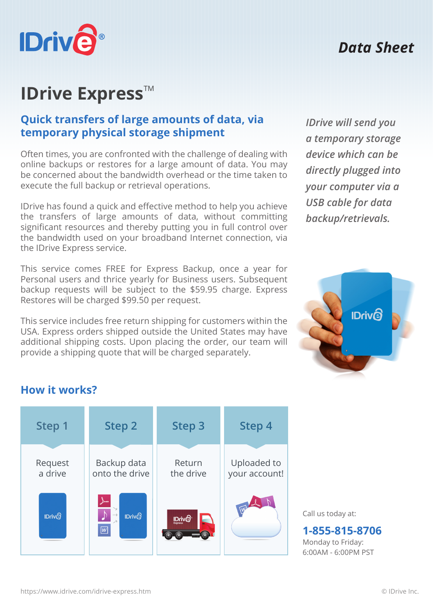



# **IDrive Express™**

# **Quick transfers of large amounts of data, via temporary physical storage shipment**

Often times, you are confronted with the challenge of dealing with online backups or restores for a large amount of data. You may be concerned about the bandwidth overhead or the time taken to execute the full backup or retrieval operations.

IDrive has found a quick and effective method to help you achieve the transfers of large amounts of data, without committing significant resources and thereby putting you in full control over the bandwidth used on your broadband Internet connection, via the IDrive Express service.

This service comes FREE for Express Backup, once a year for Personal users and thrice yearly for Business users. Subsequent backup requests will be subject to the \$59.95 charge. Express Restores will be charged \$99.50 per request.

This service includes free return shipping for customers within the USA. Express orders shipped outside the United States may have additional shipping costs. Upon placing the order, our team will provide a shipping quote that will be charged separately.

*IDrive will send you a temporary storage device which can be directly plugged into your computer via a USB cable for data backup/retrievals.*



Call us today at:

Monday to Friday: 6:00AM - 6:00PM PST

**1-855-815-8706**

## **How it works?**